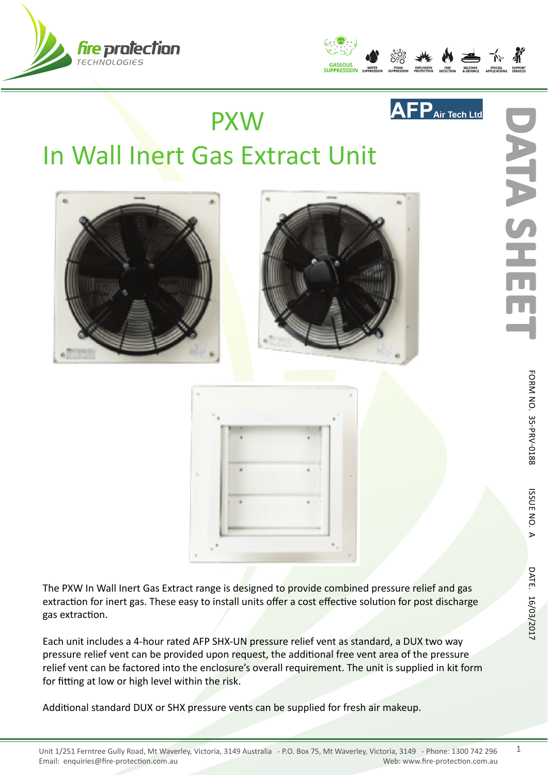



## $\mathbf{A}\mathbf{FP}_{\mathsf{Air}\,\text{Techn.} \mathsf{Ltd}}$

## PXW In Wall Inert Gas Extract Unit







The PXW In Wall Inert Gas Extract range is designed to provide combined pressure relief and gas extraction for inert gas. These easy to install units offer a cost effective solution for post discharge gas extraction.

Each unit includes a 4-hour rated AFP SHX-UN pressure relief vent as standard, a DUX two way pressure relief vent can be provided upon request, the additional free vent area of the pressure relief vent can be factored into the enclosure's overall requirement. The unit is supplied in kit form for fitting at low or high level within the risk.

Additional standard DUX or SHX pressure vents can be supplied for fresh air makeup.

1